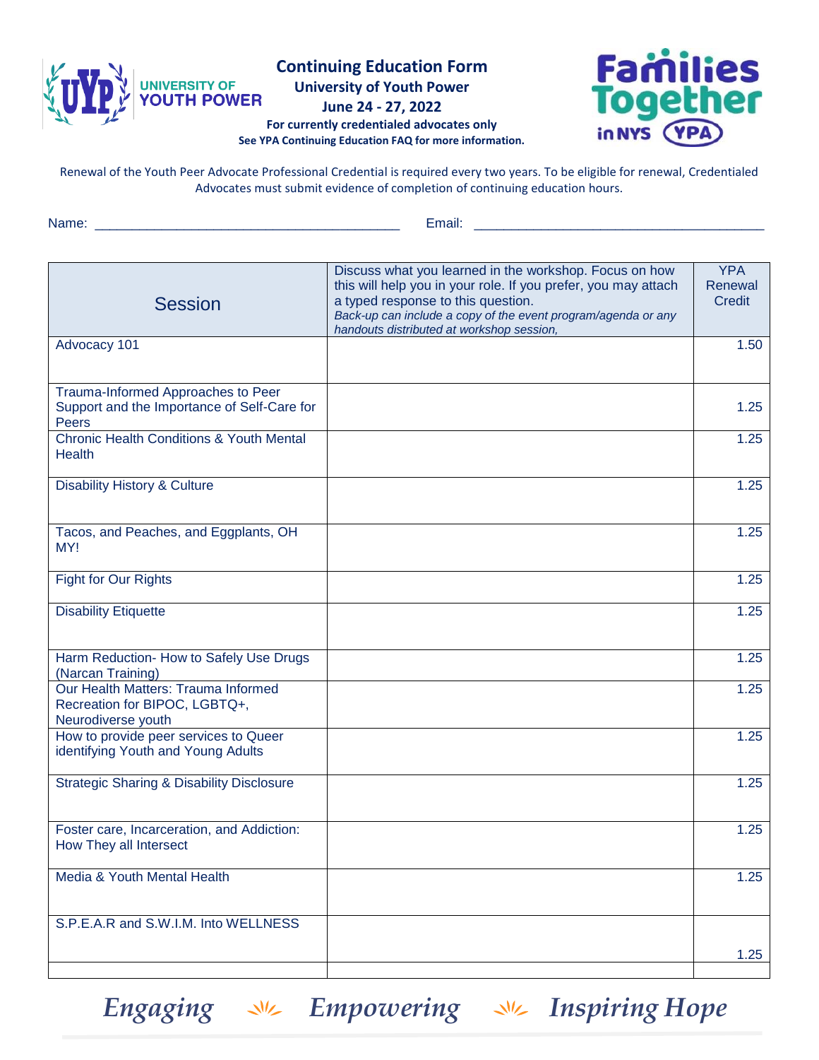

**Continuing Education Form**

**University of Youth Power**

**June 24 - 27, 2022**

## **For currently credentialed advocates only See YPA Continuing Education FAQ for more information.**



Renewal of the Youth Peer Advocate Professional Credential is required every two years. To be eligible for renewal, Credentialed Advocates must submit evidence of completion of continuing education hours.

Name: \_\_\_\_\_\_\_\_\_\_\_\_\_\_\_\_\_\_\_\_\_\_\_\_\_\_\_\_\_\_\_\_\_\_\_\_\_\_\_\_\_ Email: \_\_\_\_\_\_\_\_\_\_\_\_\_\_\_\_\_\_\_\_\_\_\_\_\_\_\_\_\_\_\_\_\_\_\_\_\_\_\_

| <b>Session</b>                                                                             | Discuss what you learned in the workshop. Focus on how<br>this will help you in your role. If you prefer, you may attach<br>a typed response to this question.<br>Back-up can include a copy of the event program/agenda or any<br>handouts distributed at workshop session, | <b>YPA</b><br>Renewal<br><b>Credit</b> |
|--------------------------------------------------------------------------------------------|------------------------------------------------------------------------------------------------------------------------------------------------------------------------------------------------------------------------------------------------------------------------------|----------------------------------------|
| Advocacy 101                                                                               |                                                                                                                                                                                                                                                                              | 1.50                                   |
|                                                                                            |                                                                                                                                                                                                                                                                              |                                        |
| Trauma-Informed Approaches to Peer<br>Support and the Importance of Self-Care for<br>Peers |                                                                                                                                                                                                                                                                              | 1.25                                   |
| <b>Chronic Health Conditions &amp; Youth Mental</b><br><b>Health</b>                       |                                                                                                                                                                                                                                                                              | 1.25                                   |
| <b>Disability History &amp; Culture</b>                                                    |                                                                                                                                                                                                                                                                              | 1.25                                   |
| Tacos, and Peaches, and Eggplants, OH<br>MY!                                               |                                                                                                                                                                                                                                                                              | 1.25                                   |
| Fight for Our Rights                                                                       |                                                                                                                                                                                                                                                                              | 1.25                                   |
| <b>Disability Etiquette</b>                                                                |                                                                                                                                                                                                                                                                              | 1.25                                   |
| Harm Reduction- How to Safely Use Drugs<br>(Narcan Training)                               |                                                                                                                                                                                                                                                                              | 1.25                                   |
| Our Health Matters: Trauma Informed<br>Recreation for BIPOC, LGBTQ+,<br>Neurodiverse youth |                                                                                                                                                                                                                                                                              | 1.25                                   |
| How to provide peer services to Queer<br>identifying Youth and Young Adults                |                                                                                                                                                                                                                                                                              | 1.25                                   |
| <b>Strategic Sharing &amp; Disability Disclosure</b>                                       |                                                                                                                                                                                                                                                                              | 1.25                                   |
| Foster care, Incarceration, and Addiction:<br>How They all Intersect                       |                                                                                                                                                                                                                                                                              | 1.25                                   |
| Media & Youth Mental Health                                                                |                                                                                                                                                                                                                                                                              | 1.25                                   |
| S.P.E.A.R and S.W.I.M. Into WELLNESS                                                       |                                                                                                                                                                                                                                                                              |                                        |
|                                                                                            |                                                                                                                                                                                                                                                                              | 1.25                                   |

**Engaging**  $\sqrt{2}$  **Empowering**  $\sqrt{2}$  **Inspiring Hope**